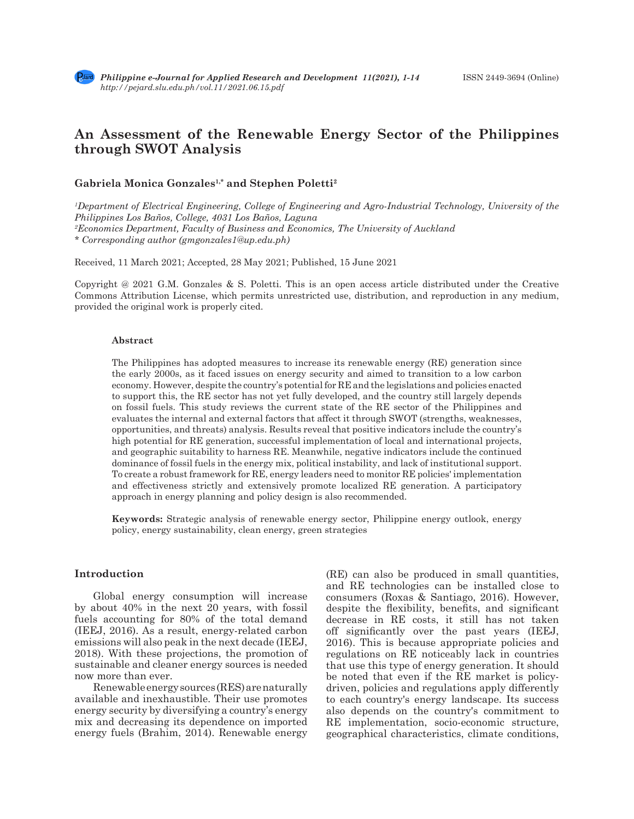# **An Assessment of the Renewable Energy Sector of the Philippines through SWOT Analysis**

# **Gabriela Monica Gonzales1,\* and Stephen Poletti2**

*1 Department of Electrical Engineering, College of Engineering and Agro-Industrial Technology, University of the Philippines Los Baños, College, 4031 Los Baños, Laguna 2 Economics Department, Faculty of Business and Economics, The University of Auckland \* Corresponding author (gmgonzales1@up.edu.ph)*

Received, 11 March 2021; Accepted, 28 May 2021; Published, 15 June 2021

Copyright @ 2021 G.M. Gonzales & S. Poletti. This is an open access article distributed under the Creative Commons Attribution License, which permits unrestricted use, distribution, and reproduction in any medium, provided the original work is properly cited.

#### **Abstract**

The Philippines has adopted measures to increase its renewable energy (RE) generation since the early 2000s, as it faced issues on energy security and aimed to transition to a low carbon economy. However, despite the country's potential for RE and the legislations and policies enacted to support this, the RE sector has not yet fully developed, and the country still largely depends on fossil fuels. This study reviews the current state of the RE sector of the Philippines and evaluates the internal and external factors that affect it through SWOT (strengths, weaknesses, opportunities, and threats) analysis. Results reveal that positive indicators include the country's high potential for RE generation, successful implementation of local and international projects, and geographic suitability to harness RE. Meanwhile, negative indicators include the continued dominance of fossil fuels in the energy mix, political instability, and lack of institutional support. To create a robust framework for RE, energy leaders need to monitor RE policies' implementation and effectiveness strictly and extensively promote localized RE generation. A participatory approach in energy planning and policy design is also recommended.

**Keywords:** Strategic analysis of renewable energy sector, Philippine energy outlook, energy policy, energy sustainability, clean energy, green strategies

# **Introduction**

Global energy consumption will increase by about 40% in the next 20 years, with fossil fuels accounting for 80% of the total demand (IEEJ, 2016). As a result, energy-related carbon emissions will also peak in the next decade (IEEJ, 2018). With these projections, the promotion of sustainable and cleaner energy sources is needed now more than ever.

Renewable energy sources (RES) are naturally available and inexhaustible. Their use promotes energy security by diversifying a country's energy mix and decreasing its dependence on imported energy fuels (Brahim, 2014). Renewable energy

(RE) can also be produced in small quantities, and RE technologies can be installed close to consumers (Roxas & Santiago, 2016). However, despite the flexibility, benefits, and significant decrease in RE costs, it still has not taken off significantly over the past years (IEEJ, 2016). This is because appropriate policies and regulations on RE noticeably lack in countries that use this type of energy generation. It should be noted that even if the RE market is policydriven, policies and regulations apply differently to each country's energy landscape. Its success also depends on the country's commitment to RE implementation, socio-economic structure, geographical characteristics, climate conditions,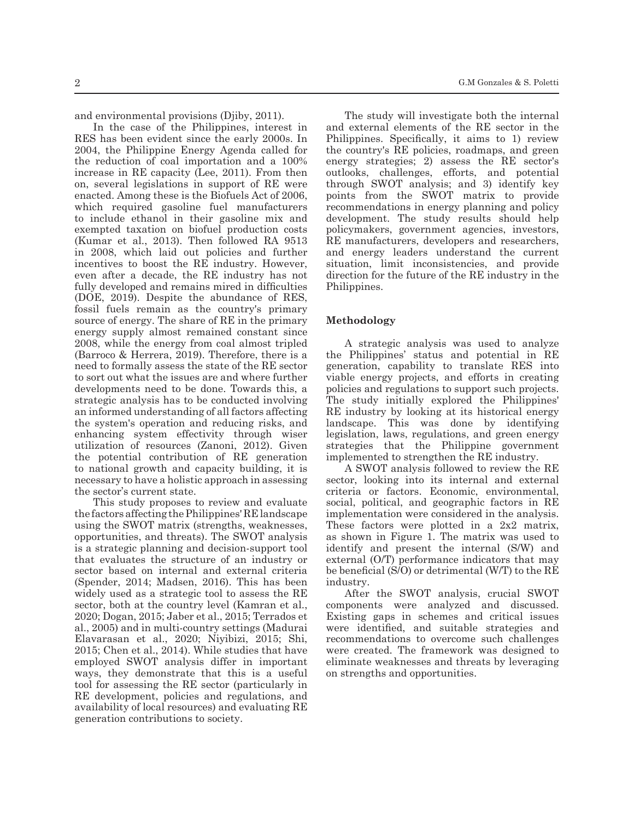and environmental provisions (Djiby, 2011).

In the case of the Philippines, interest in RES has been evident since the early 2000s. In 2004, the Philippine Energy Agenda called for the reduction of coal importation and a 100% increase in RE capacity (Lee, 2011). From then on, several legislations in support of RE were enacted. Among these is the Biofuels Act of 2006, which required gasoline fuel manufacturers to include ethanol in their gasoline mix and exempted taxation on biofuel production costs (Kumar et al., 2013). Then followed RA 9513 in 2008, which laid out policies and further incentives to boost the RE industry. However, even after a decade, the RE industry has not fully developed and remains mired in difficulties (DOE, 2019). Despite the abundance of RES, fossil fuels remain as the country's primary source of energy. The share of RE in the primary energy supply almost remained constant since 2008, while the energy from coal almost tripled (Barroco & Herrera, 2019). Therefore, there is a need to formally assess the state of the RE sector to sort out what the issues are and where further developments need to be done. Towards this, a strategic analysis has to be conducted involving an informed understanding of all factors affecting the system's operation and reducing risks, and enhancing system effectivity through wiser utilization of resources (Zanoni, 2012). Given the potential contribution of RE generation to national growth and capacity building, it is necessary to have a holistic approach in assessing the sector's current state.

This study proposes to review and evaluate the factors affecting the Philippines' RE landscape using the SWOT matrix (strengths, weaknesses, opportunities, and threats). The SWOT analysis is a strategic planning and decision-support tool that evaluates the structure of an industry or sector based on internal and external criteria (Spender, 2014; Madsen, 2016). This has been widely used as a strategic tool to assess the RE sector, both at the country level (Kamran et al., 2020; Dogan, 2015; Jaber et al., 2015; Terrados et al., 2005) and in multi-country settings (Madurai Elavarasan et al., 2020; Niyibizi, 2015; Shi, 2015; Chen et al., 2014). While studies that have employed SWOT analysis differ in important ways, they demonstrate that this is a useful tool for assessing the RE sector (particularly in RE development, policies and regulations, and availability of local resources) and evaluating RE generation contributions to society.

The study will investigate both the internal and external elements of the RE sector in the Philippines. Specifically, it aims to 1) review the country's RE policies, roadmaps, and green energy strategies; 2) assess the RE sector's outlooks, challenges, efforts, and potential through SWOT analysis; and 3) identify key points from the SWOT matrix to provide recommendations in energy planning and policy development. The study results should help policymakers, government agencies, investors, RE manufacturers, developers and researchers, and energy leaders understand the current situation, limit inconsistencies, and provide direction for the future of the RE industry in the Philippines.

### **Methodology**

A strategic analysis was used to analyze the Philippines' status and potential in RE generation, capability to translate RES into viable energy projects, and efforts in creating policies and regulations to support such projects. The study initially explored the Philippines' RE industry by looking at its historical energy landscape. This was done by identifying legislation, laws, regulations, and green energy strategies that the Philippine government implemented to strengthen the RE industry.

A SWOT analysis followed to review the RE sector, looking into its internal and external criteria or factors. Economic, environmental, social, political, and geographic factors in RE implementation were considered in the analysis. These factors were plotted in a 2x2 matrix, as shown in Figure 1. The matrix was used to identify and present the internal (S/W) and external (O/T) performance indicators that may be beneficial (S/O) or detrimental (W/T) to the RE industry.

After the SWOT analysis, crucial SWOT components were analyzed and discussed. Existing gaps in schemes and critical issues were identified, and suitable strategies and recommendations to overcome such challenges were created. The framework was designed to eliminate weaknesses and threats by leveraging on strengths and opportunities.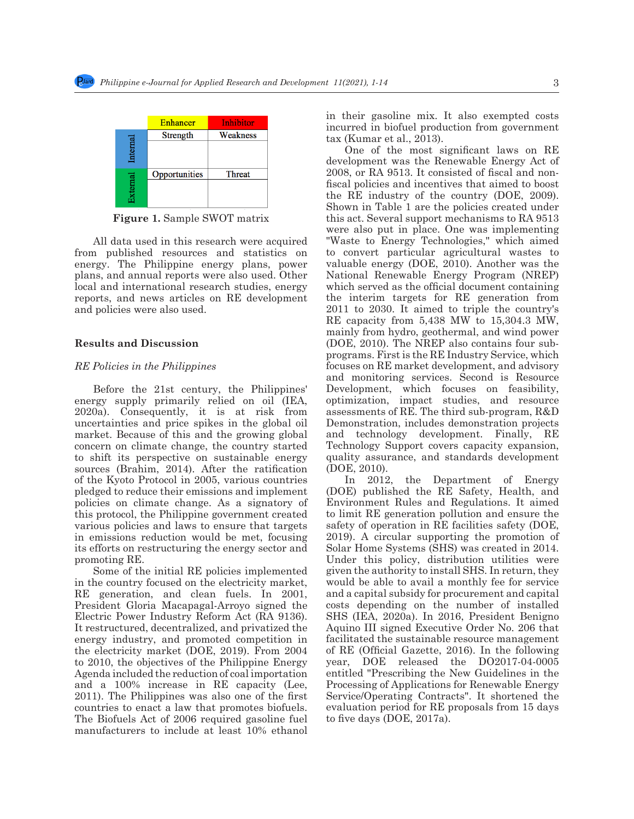

92 Figure 1. Sample SWOT matrix **Figure 1.** Sample SWOT matrix

All data used in this research were acquired **From published resources** and statistics on the convert particular energy. The Philippine energy plans, power valuable energy (DOE plans, and annual reports were also used. Other National Renewable from published resources and statistics on local and international research studies, energy reports, and news articles on RE development and policies were also used.

Before the 21st century, the Philippines' Development, which energy supply primarily relied on oil (IEA, optimization, impact 2020a). Consequently, it is at risk from assessments of the inter-<br>uncertainties and price spikes in the global oil Demonstration, includ market. Because of this and the growing global and technology dev  $\alpha$ to shift its perspective on sustainable energy quality assurance, an sources (brannii, 2014). After the ratification (DOE, 2010).<br>of the Kyoto Protocol in 2005, various countries  $\begin{bmatrix} \text{In} & 2012, \text{the} \end{bmatrix}$  $111111$   $1121211$   $1121211$   $112121$   $112121$   $112121$   $112121$   $112121$   $112121$   $112121$   $112121$ policies on climate change. As a signatory of Environment Rules and this protocol, the Philippine government created to limit RE generation various policies and laws to ensure that targets salety of operation in increase. In christian Foundation words be med, founding  $\frac{1}{2}$  in the Biofuel supplies its efforts on restructuring the energy sector and Solar Home Systems ( 2020a). Consequently, it is at risk from concern on climate change, the country started sources (Brahim, 2014). After the ratification various policies and laws to ensure that targets promoting RE.

 $\frac{1}{2}$  Some of the initial RE policies implemented In the country focused on the electricity market, would be able to avail<br>RE generation, and clean fuels. In 2001, and a capital subsidy for President Gloria Macapagal-Arroyo signed the costs depending on the settlement of the settlement of the settlement of the settlement of the settlement of the settlement of the settlement of the settlement of the settlement Electric Power Industry Reform Act (RA 9136). SHS (IEA, 2020a). In It restructured, decentralized, and privatized the Aquino III signed Executive and the second state of the second in place. The second is a second was in place. The second was in place of the second was in the second was i energy muastry, and promoted competition in a factorizated the sustantial the electricity market (DOE, 2019). From 2004 of RE (Official Gazett to 2010, the objectives of the Philippine Energy year, DOE released Agenda included the reduction of coal importation entitled "Prescribing to and a 100% increase in RE capacity (Lee, Processing of Application  $\mathbb{R}$ ,  $\mathbb{R}$  and  $\mathbb{R}$ ,  $\mathbb{R}$  and  $\mathbb{R}$  and  $\mathbb{R}$  and  $\mathbb{R}$  and  $\mathbb{R}$  and  $\mathbb{R}$  and  $\mathbb{R}$  and  $\mathbb{R}$  and  $\mathbb{R}$  and  $\mathbb$ 2011). The Thinppines was also one of the first experience operating contains four sub-programs. Figures is the Re Industry countries to enact a law that promotes biofuels. evaluation period for R The Biofuels Act of 2006 required gasoline fuel to five days (DOE, 201' manufacturers to include at least 10% ethanol in the country focused on the electricity market, energy industry, and promoted competition in 2011). The Philippines was also one of the first

in their gasoline mix. It also exempted costs incurred in biofuel production from government tax (Kumar et al., 2013).

101 Before the 21st century, the Philippines' energy supply primarily relied on oil (IEA, 2020a). **Results and Discussion** programs. First is the risk from uncertainties and programs. First is the risk of the global oil market of the p<br>focuses on RE market of the philippines 103 the growing and the growing global concern on concern on concern on concern on concern on concern on concern on concern on concern on concern on the monitoring services. Second is Resource One of the most significant laws on RE development was the Renewable Energy Act of 2008, or RA 9513. It consisted of fiscal and nonfiscal policies and incentives that aimed to boost the RE industry of the country (DOE, 2009). Shown in Table 1 are the policies created under this act. Several support mechanisms to RA 9513 were also put in place. One was implementing "Waste to Energy Technologies," which aimed to convert particular agricultural wastes to valuable energy (DOE, 2010). Another was the National Renewable Energy Program (NREP) which served as the official document containing the interim targets for RE generation from 2011 to 2030. It aimed to triple the country's RE capacity from 5,438 MW to 15,304.3 MW, mainly from hydro, geothermal, and wind power (DOE, 2010). The NREP also contains four subprograms. First is the RE Industry Service, which focuses on RE market development, and advisory Development, which focuses on feasibility, optimization, impact studies, and resource assessments of RE. The third sub-program, R&D Demonstration, includes demonstration projects and technology development. Finally, RE Technology Support covers capacity expansion, quality assurance, and standards development (DOE, 2010).

promoting RE. The include at least 10 moder this policy, distribution utilities were In 2012, the Department of Energy (DOE) published the RE Safety, Health, and Environment Rules and Regulations. It aimed to limit RE generation pollution and ensure the safety of operation in RE facilities safety (DOE, 2019). A circular supporting the promotion of Solar Home Systems (SHS) was created in 2014. given the authority to install SHS. In return, they would be able to avail a monthly fee for service and a capital subsidy for procurement and capital costs depending on the number of installed SHS (IEA, 2020a). In 2016, President Benigno Aquino III signed Executive Order No. 206 that facilitated the sustainable resource management of RE (Official Gazette, 2016). In the following year, DOE released the DO2017-04-0005 entitled "Prescribing the New Guidelines in the Processing of Applications for Renewable Energy Service/Operating Contracts". It shortened the evaluation period for RE proposals from 15 days to five days (DOE, 2017a).

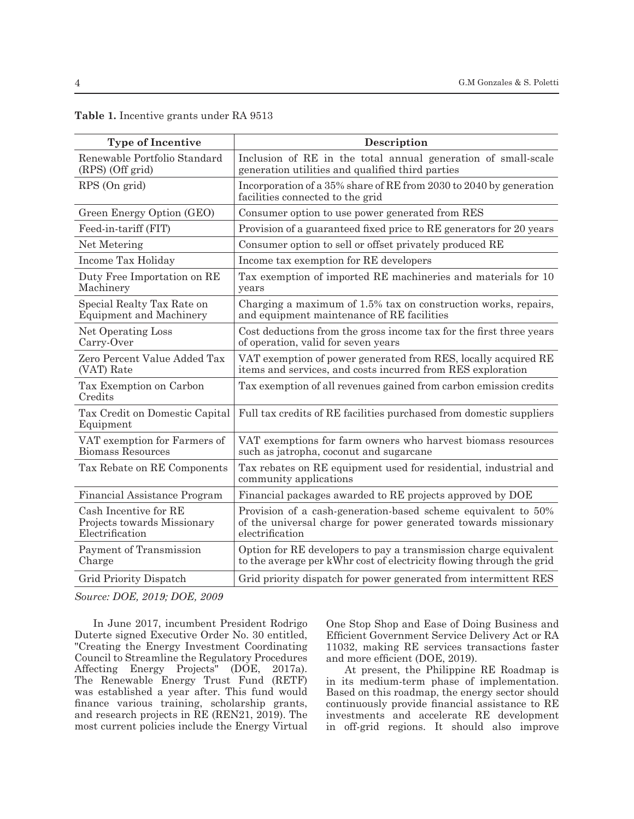| <b>Type of Incentive</b>                                                | Description                                                                                                                                        |
|-------------------------------------------------------------------------|----------------------------------------------------------------------------------------------------------------------------------------------------|
| Renewable Portfolio Standard<br>(RPS) (Off grid)                        | Inclusion of RE in the total annual generation of small-scale<br>generation utilities and qualified third parties                                  |
| RPS (On grid)                                                           | Incorporation of a 35% share of RE from 2030 to 2040 by generation<br>facilities connected to the grid                                             |
| Green Energy Option (GEO)                                               | Consumer option to use power generated from RES                                                                                                    |
| Feed-in-tariff (FIT)                                                    | Provision of a guaranteed fixed price to RE generators for 20 years                                                                                |
| Net Metering                                                            | Consumer option to sell or offset privately produced RE                                                                                            |
| Income Tax Holiday                                                      | Income tax exemption for RE developers                                                                                                             |
| Duty Free Importation on RE<br>Machinery                                | Tax exemption of imported RE machineries and materials for 10<br>years                                                                             |
| Special Realty Tax Rate on<br><b>Equipment and Machinery</b>            | Charging a maximum of 1.5% tax on construction works, repairs,<br>and equipment maintenance of RE facilities                                       |
| Net Operating Loss<br>Carry-Over                                        | Cost deductions from the gross income tax for the first three years<br>of operation, valid for seven years                                         |
| Zero Percent Value Added Tax<br>(VAT) Rate                              | VAT exemption of power generated from RES, locally acquired RE<br>items and services, and costs incurred from RES exploration                      |
| Tax Exemption on Carbon<br>Credits                                      | Tax exemption of all revenues gained from carbon emission credits                                                                                  |
| Tax Credit on Domestic Capital<br>Equipment                             | Full tax credits of RE facilities purchased from domestic suppliers                                                                                |
| VAT exemption for Farmers of<br><b>Biomass Resources</b>                | VAT exemptions for farm owners who harvest biomass resources<br>such as jatropha, coconut and sugarcane                                            |
| Tax Rebate on RE Components                                             | Tax rebates on RE equipment used for residential, industrial and<br>community applications                                                         |
| Financial Assistance Program                                            | Financial packages awarded to RE projects approved by DOE                                                                                          |
| Cash Incentive for RE<br>Projects towards Missionary<br>Electrification | Provision of a cash-generation-based scheme equivalent to 50%<br>of the universal charge for power generated towards missionary<br>electrification |
| Payment of Transmission<br>Charge                                       | Option for RE developers to pay a transmission charge equivalent<br>to the average per kWhr cost of electricity flowing through the grid           |
| Grid Priority Dispatch                                                  | Grid priority dispatch for power generated from intermittent RES                                                                                   |

# **Table 1.** Incentive grants under RA 9513

*Source: DOE, 2019; DOE, 2009*

In June 2017, incumbent President Rodrigo Duterte signed Executive Order No. 30 entitled, "Creating the Energy Investment Coordinating Council to Streamline the Regulatory Procedures Affecting Energy Projects" (DOE, 2017a). The Renewable Energy Trust Fund (RETF) was established a year after. This fund would finance various training, scholarship grants, and research projects in RE (REN21, 2019). The most current policies include the Energy Virtual One Stop Shop and Ease of Doing Business and Efficient Government Service Delivery Act or RA 11032, making RE services transactions faster and more efficient (DOE, 2019).

At present, the Philippine RE Roadmap is in its medium-term phase of implementation. Based on this roadmap, the energy sector should continuously provide financial assistance to RE investments and accelerate RE development in off-grid regions. It should also improve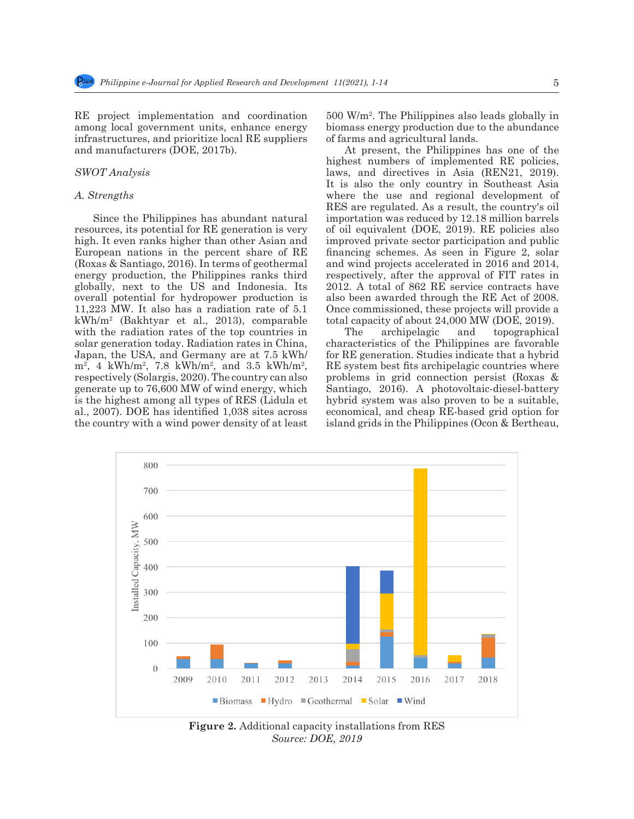RE project implementation and coordination among local government units, enhance energy infrastructures, and prioritize local RE suppliers and manufacturers (DOE, 2017b).

# *SWOT Analysis*

#### *A. Strengths*

Since the Philippines has abundant natural resources, its potential for RE generation is very high. It even ranks higher than other Asian and European nations in the percent share of RE (Roxas & Santiago, 2016). In terms of geothermal energy production, the Philippines ranks third globally, next to the US and Indonesia. Its overall potential for hydropower production is 11,223 MW. It also has a radiation rate of 5.1 kWh/m2 (Bakhtyar et al., 2013), comparable with the radiation rates of the top countries in solar generation today. Radiation rates in China, Japan, the USA, and Germany are at 7.5 kWh/  $m^2$ , 4 kWh/m<sup>2</sup>, 7.8 kWh/m<sup>2</sup>, and 3.5 kWh/m<sup>2</sup>, respectively (Solargis, 2020). The country can also generate up to 76,600 MW of wind energy, which is the highest among all types of RES (Lidula et al., 2007). DOE has identified 1,038 sites across the country with a wind power density of at least

500 W/m2 . The Philippines also leads globally in biomass energy production due to the abundance of farms and agricultural lands.

At present, the Philippines has one of the highest numbers of implemented RE policies, laws, and directives in Asia (REN21, 2019). It is also the only country in Southeast Asia where the use and regional development of RES are regulated. As a result, the country's oil importation was reduced by 12.18 million barrels of oil equivalent (DOE, 2019). RE policies also improved private sector participation and public financing schemes. As seen in Figure 2, solar and wind projects accelerated in 2016 and 2014, respectively, after the approval of FIT rates in 2012. A total of 862 RE service contracts have also been awarded through the RE Act of 2008. Once commissioned, these projects will provide a total capacity of about 24,000 MW (DOE, 2019).

The archipelagic and topographical characteristics of the Philippines are favorable for RE generation. Studies indicate that a hybrid RE system best fits archipelagic countries where problems in grid connection persist (Roxas & Santiago, 2016). A photovoltaic-diesel-battery hybrid system was also proven to be a suitable, economical, and cheap RE-based grid option for island grids in the Philippines (Ocon & Bertheau,



**Figure 2.** Additional capacity installations from RES *Source: DOE, 2019*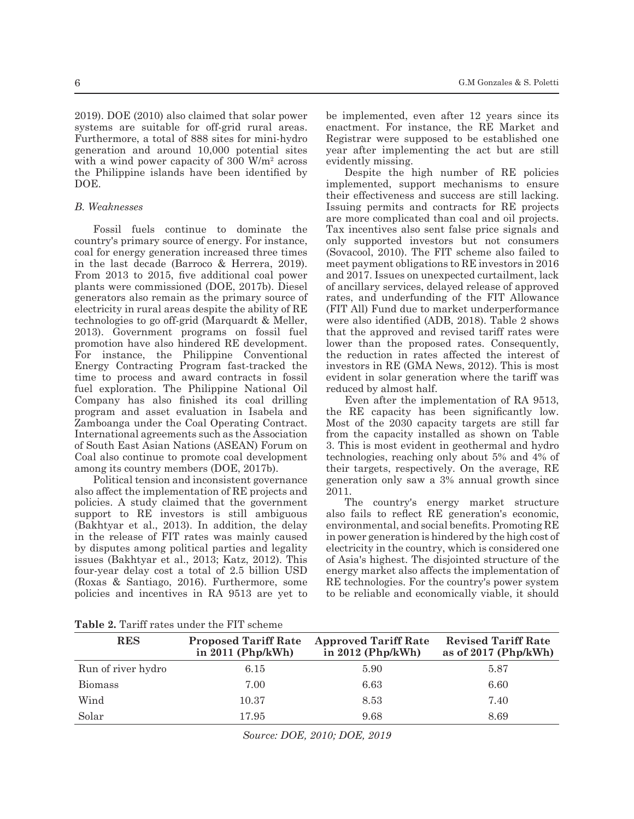2019). DOE (2010) also claimed that solar power systems are suitable for off-grid rural areas. Furthermore, a total of 888 sites for mini-hydro generation and around 10,000 potential sites with a wind power capacity of 300 W/m<sup>2</sup> across the Philippine islands have been identified by DOE.

### *B. Weaknesses*

Fossil fuels continue to dominate the country's primary source of energy. For instance, coal for energy generation increased three times in the last decade (Barroco & Herrera, 2019). From 2013 to 2015, five additional coal power plants were commissioned (DOE, 2017b). Diesel generators also remain as the primary source of electricity in rural areas despite the ability of RE technologies to go off-grid (Marquardt & Meller, 2013). Government programs on fossil fuel promotion have also hindered RE development. For instance, the Philippine Conventional Energy Contracting Program fast-tracked the time to process and award contracts in fossil fuel exploration. The Philippine National Oil Company has also finished its coal drilling program and asset evaluation in Isabela and Zamboanga under the Coal Operating Contract. International agreements such as the Association of South East Asian Nations (ASEAN) Forum on Coal also continue to promote coal development among its country members (DOE, 2017b).

Political tension and inconsistent governance also affect the implementation of RE projects and policies. A study claimed that the government support to RE investors is still ambiguous (Bakhtyar et al., 2013). In addition, the delay in the release of FIT rates was mainly caused by disputes among political parties and legality issues (Bakhtyar et al., 2013; Katz, 2012). This four-year delay cost a total of 2.5 billion USD (Roxas & Santiago, 2016). Furthermore, some policies and incentives in RA 9513 are yet to be implemented, even after 12 years since its enactment. For instance, the RE Market and Registrar were supposed to be established one year after implementing the act but are still evidently missing.

Despite the high number of RE policies implemented, support mechanisms to ensure their effectiveness and success are still lacking. Issuing permits and contracts for RE projects are more complicated than coal and oil projects. Tax incentives also sent false price signals and only supported investors but not consumers (Sovacool, 2010). The FIT scheme also failed to meet payment obligations to RE investors in 2016 and 2017. Issues on unexpected curtailment, lack of ancillary services, delayed release of approved rates, and underfunding of the FIT Allowance (FIT All) Fund due to market underperformance were also identified (ADB, 2018). Table 2 shows that the approved and revised tariff rates were lower than the proposed rates. Consequently, the reduction in rates affected the interest of investors in RE (GMA News, 2012). This is most evident in solar generation where the tariff was reduced by almost half.

Even after the implementation of RA 9513, the RE capacity has been significantly low. Most of the 2030 capacity targets are still far from the capacity installed as shown on Table 3. This is most evident in geothermal and hydro technologies, reaching only about 5% and 4% of their targets, respectively. On the average, RE generation only saw a 3% annual growth since 2011.

The country's energy market structure also fails to reflect RE generation's economic, environmental, and social benefits. Promoting RE in power generation is hindered by the high cost of electricity in the country, which is considered one of Asia's highest. The disjointed structure of the energy market also affects the implementation of RE technologies. For the country's power system to be reliable and economically viable, it should

**Table 2.** Tariff rates under the FIT scheme

| <b>RES</b>         | <b>Proposed Tariff Rate</b><br>in $2011$ (Php/kWh) | <b>Approved Tariff Rate</b><br>in $2012$ (Php/kWh) | <b>Revised Tariff Rate</b><br>as of $2017$ (Php/kWh) |
|--------------------|----------------------------------------------------|----------------------------------------------------|------------------------------------------------------|
| Run of river hydro | 6.15                                               | 5.90                                               | 5.87                                                 |
| <b>Biomass</b>     | 7.00                                               | 6.63                                               | 6.60                                                 |
| Wind               | 10.37                                              | 8.53                                               | 7.40                                                 |
| Solar              | 17.95                                              | 9.68                                               | 8.69                                                 |

*Source: DOE, 2010; DOE, 2019*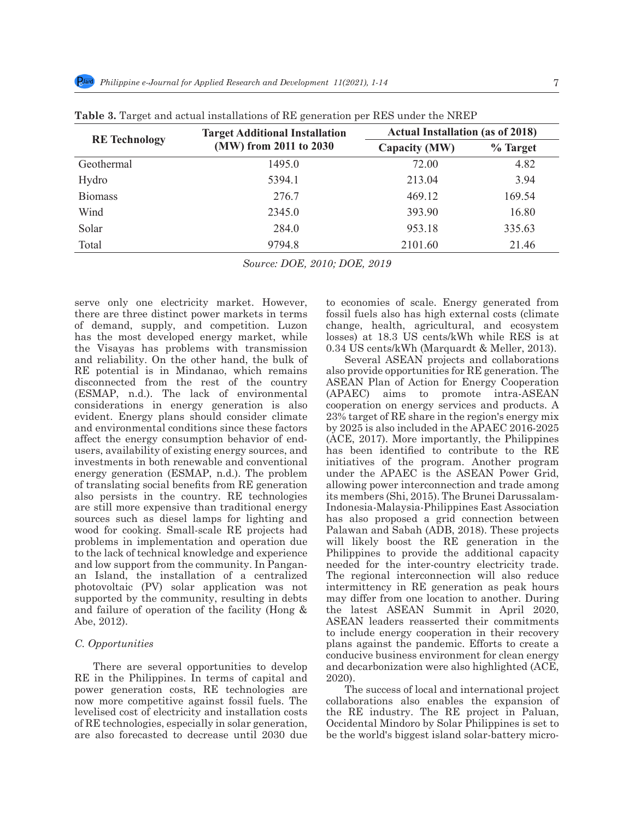| <b>RE</b> Technology | <b>Target Additional Installation</b><br>(MW) from 2011 to 2030 | <b>Actual Installation (as of 2018)</b> |          |
|----------------------|-----------------------------------------------------------------|-----------------------------------------|----------|
|                      |                                                                 | Capacity (MW)                           | % Target |
| Geothermal           | 1495.0                                                          | 72.00                                   | 4.82     |
| Hydro                | 5394.1                                                          | 213.04                                  | 3.94     |
| <b>Biomass</b>       | 276.7                                                           | 469.12                                  | 169.54   |
| Wind                 | 2345.0                                                          | 393.90                                  | 16.80    |
| Solar                | 284.0                                                           | 953.18                                  | 335.63   |
| Total                | 9794.8                                                          | 2101.60                                 | 21.46    |

**Table 3.** Target and actual installations of RE generation per RES under the NREP

*Source: DOE, 2010; DOE, 2019*

serve only one electricity market. However, there are three distinct power markets in terms of demand, supply, and competition. Luzon has the most developed energy market, while the Visayas has problems with transmission and reliability. On the other hand, the bulk of RE potential is in Mindanao, which remains disconnected from the rest of the country (ESMAP, n.d.). The lack of environmental considerations in energy generation is also evident. Energy plans should consider climate and environmental conditions since these factors affect the energy consumption behavior of endusers, availability of existing energy sources, and investments in both renewable and conventional energy generation (ESMAP, n.d.). The problem of translating social benefits from RE generation also persists in the country. RE technologies are still more expensive than traditional energy sources such as diesel lamps for lighting and wood for cooking. Small-scale RE projects had problems in implementation and operation due to the lack of technical knowledge and experience and low support from the community. In Panganan Island, the installation of a centralized photovoltaic (PV) solar application was not supported by the community, resulting in debts and failure of operation of the facility (Hong & Abe, 2012).

#### *C. Opportunities*

There are several opportunities to develop RE in the Philippines. In terms of capital and power generation costs, RE technologies are now more competitive against fossil fuels. The levelised cost of electricity and installation costs of RE technologies, especially in solar generation, are also forecasted to decrease until 2030 due to economies of scale. Energy generated from fossil fuels also has high external costs (climate change, health, agricultural, and ecosystem losses) at 18.3 US cents/kWh while RES is at 0.34 US cents/kWh (Marquardt & Meller, 2013).

Several ASEAN projects and collaborations also provide opportunities for RE generation. The ASEAN Plan of Action for Energy Cooperation (APAEC) aims to promote intra-ASEAN cooperation on energy services and products. A 23% target of RE share in the region's energy mix by 2025 is also included in the APAEC 2016-2025 (ACE, 2017). More importantly, the Philippines has been identified to contribute to the RE initiatives of the program. Another program under the APAEC is the ASEAN Power Grid, allowing power interconnection and trade among its members (Shi, 2015). The Brunei Darussalam-Indonesia-Malaysia-Philippines East Association has also proposed a grid connection between Palawan and Sabah (ADB, 2018). These projects will likely boost the RE generation in the Philippines to provide the additional capacity needed for the inter-country electricity trade. The regional interconnection will also reduce intermittency in RE generation as peak hours may differ from one location to another. During the latest ASEAN Summit in April 2020, ASEAN leaders reasserted their commitments to include energy cooperation in their recovery plans against the pandemic. Efforts to create a conducive business environment for clean energy and decarbonization were also highlighted (ACE, 2020).

The success of local and international project collaborations also enables the expansion of the RE industry. The RE project in Paluan, Occidental Mindoro by Solar Philippines is set to be the world's biggest island solar-battery micro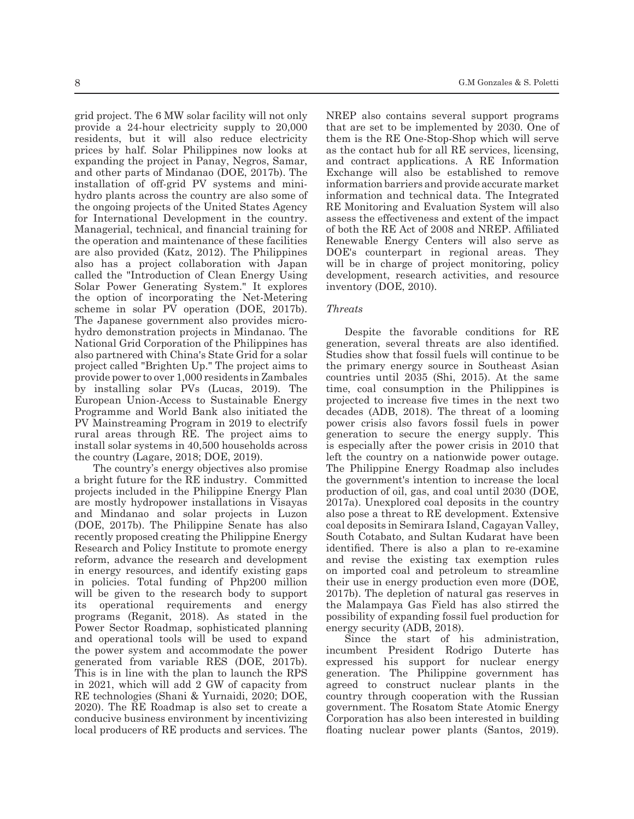grid project. The 6 MW solar facility will not only provide a 24-hour electricity supply to 20,000 residents, but it will also reduce electricity prices by half. Solar Philippines now looks at expanding the project in Panay, Negros, Samar, and other parts of Mindanao (DOE, 2017b). The installation of off-grid PV systems and minihydro plants across the country are also some of the ongoing projects of the United States Agency for International Development in the country. Managerial, technical, and financial training for the operation and maintenance of these facilities are also provided (Katz, 2012). The Philippines also has a project collaboration with Japan called the "Introduction of Clean Energy Using Solar Power Generating System." It explores the option of incorporating the Net-Metering scheme in solar PV operation (DOE, 2017b). The Japanese government also provides microhydro demonstration projects in Mindanao. The National Grid Corporation of the Philippines has also partnered with China's State Grid for a solar project called "Brighten Up." The project aims to provide power to over 1,000 residents in Zambales by installing solar PVs (Lucas, 2019). The European Union-Access to Sustainable Energy Programme and World Bank also initiated the PV Mainstreaming Program in 2019 to electrify rural areas through RE. The project aims to install solar systems in 40,500 households across the country (Lagare, 2018; DOE, 2019).

The country's energy objectives also promise a bright future for the RE industry. Committed projects included in the Philippine Energy Plan are mostly hydropower installations in Visayas and Mindanao and solar projects in Luzon (DOE, 2017b). The Philippine Senate has also recently proposed creating the Philippine Energy Research and Policy Institute to promote energy reform, advance the research and development in energy resources, and identify existing gaps in policies. Total funding of Php200 million will be given to the research body to support its operational requirements and energy programs (Reganit, 2018). As stated in the Power Sector Roadmap, sophisticated planning and operational tools will be used to expand the power system and accommodate the power generated from variable RES (DOE, 2017b). This is in line with the plan to launch the RPS in 2021, which will add 2 GW of capacity from RE technologies (Shani & Yurnaidi, 2020; DOE, 2020). The RE Roadmap is also set to create a conducive business environment by incentivizing local producers of RE products and services. The NREP also contains several support programs that are set to be implemented by 2030. One of them is the RE One-Stop-Shop which will serve as the contact hub for all RE services, licensing, and contract applications. A RE Information Exchange will also be established to remove information barriers and provide accurate market information and technical data. The Integrated RE Monitoring and Evaluation System will also assess the effectiveness and extent of the impact of both the RE Act of 2008 and NREP. Affiliated Renewable Energy Centers will also serve as DOE's counterpart in regional areas. They will be in charge of project monitoring, policy development, research activities, and resource inventory (DOE, 2010).

#### *Threats*

Despite the favorable conditions for RE generation, several threats are also identified. Studies show that fossil fuels will continue to be the primary energy source in Southeast Asian countries until 2035 (Shi, 2015). At the same time, coal consumption in the Philippines is projected to increase five times in the next two decades (ADB, 2018). The threat of a looming power crisis also favors fossil fuels in power generation to secure the energy supply. This is especially after the power crisis in 2010 that left the country on a nationwide power outage. The Philippine Energy Roadmap also includes the government's intention to increase the local production of oil, gas, and coal until 2030 (DOE, 2017a). Unexplored coal deposits in the country also pose a threat to RE development. Extensive coal deposits in Semirara Island, Cagayan Valley, South Cotabato, and Sultan Kudarat have been identified. There is also a plan to re-examine and revise the existing tax exemption rules on imported coal and petroleum to streamline their use in energy production even more (DOE, 2017b). The depletion of natural gas reserves in the Malampaya Gas Field has also stirred the possibility of expanding fossil fuel production for energy security (ADB, 2018).

Since the start of his administration, incumbent President Rodrigo Duterte has expressed his support for nuclear energy generation. The Philippine government has agreed to construct nuclear plants in the country through cooperation with the Russian government. The Rosatom State Atomic Energy Corporation has also been interested in building floating nuclear power plants (Santos, 2019).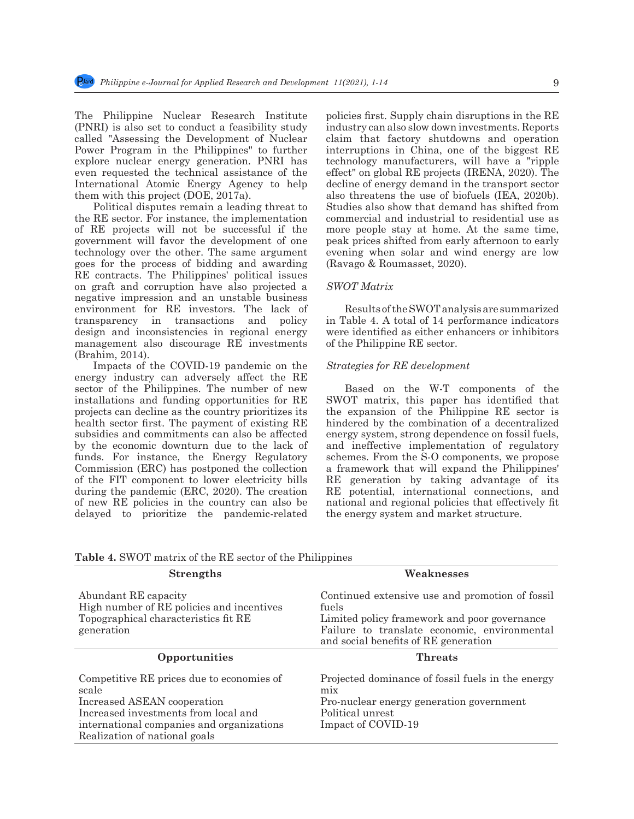The Philippine Nuclear Research Institute (PNRI) is also set to conduct a feasibility study called "Assessing the Development of Nuclear Power Program in the Philippines" to further explore nuclear energy generation. PNRI has even requested the technical assistance of the International Atomic Energy Agency to help them with this project (DOE, 2017a).

Political disputes remain a leading threat to the RE sector. For instance, the implementation of RE projects will not be successful if the government will favor the development of one technology over the other. The same argument goes for the process of bidding and awarding RE contracts. The Philippines' political issues on graft and corruption have also projected a negative impression and an unstable business environment for RE investors. The lack of transparency in transactions and policy design and inconsistencies in regional energy management also discourage RE investments (Brahim, 2014).

Impacts of the COVID-19 pandemic on the energy industry can adversely affect the RE sector of the Philippines. The number of new installations and funding opportunities for RE projects can decline as the country prioritizes its health sector first. The payment of existing RE subsidies and commitments can also be affected by the economic downturn due to the lack of funds. For instance, the Energy Regulatory Commission (ERC) has postponed the collection of the FIT component to lower electricity bills during the pandemic (ERC, 2020). The creation of new RE policies in the country can also be delayed to prioritize the pandemic-related policies first. Supply chain disruptions in the RE industry can also slow down investments. Reports claim that factory shutdowns and operation interruptions in China, one of the biggest RE technology manufacturers, will have a "ripple effect" on global RE projects (IRENA, 2020). The decline of energy demand in the transport sector also threatens the use of biofuels (IEA, 2020b). Studies also show that demand has shifted from commercial and industrial to residential use as more people stay at home. At the same time, peak prices shifted from early afternoon to early evening when solar and wind energy are low (Ravago & Roumasset, 2020).

#### *SWOT Matrix*

Results of the SWOT analysis are summarized in Table 4. A total of 14 performance indicators were identified as either enhancers or inhibitors of the Philippine RE sector.

#### *Strategies for RE development*

Based on the W-T components of the SWOT matrix, this paper has identified that the expansion of the Philippine RE sector is hindered by the combination of a decentralized energy system, strong dependence on fossil fuels, and ineffective implementation of regulatory schemes. From the S-O components, we propose a framework that will expand the Philippines' RE generation by taking advantage of its RE potential, international connections, and national and regional policies that effectively fit the energy system and market structure.

| <b>Strengths</b>                                                                                                                                                                                        | Weaknesses                                                                                                                                                                                       |
|---------------------------------------------------------------------------------------------------------------------------------------------------------------------------------------------------------|--------------------------------------------------------------------------------------------------------------------------------------------------------------------------------------------------|
| Abundant RE capacity<br>High number of RE policies and incentives<br>Topographical characteristics fit RE<br>generation                                                                                 | Continued extensive use and promotion of fossil<br>fuels<br>Limited policy framework and poor governance<br>Failure to translate economic, environmental<br>and social benefits of RE generation |
| Opportunities                                                                                                                                                                                           | <b>Threats</b>                                                                                                                                                                                   |
| Competitive RE prices due to economies of<br>scale<br>Increased ASEAN cooperation<br>Increased investments from local and<br>international companies and organizations<br>Realization of national goals | Projected dominance of fossil fuels in the energy<br>m <sub>1X</sub><br>Pro-nuclear energy generation government<br>Political unrest<br>Impact of COVID-19                                       |

|  | <b>Table 4. SWOT</b> matrix of the RE sector of the Philippines |
|--|-----------------------------------------------------------------|
|--|-----------------------------------------------------------------|

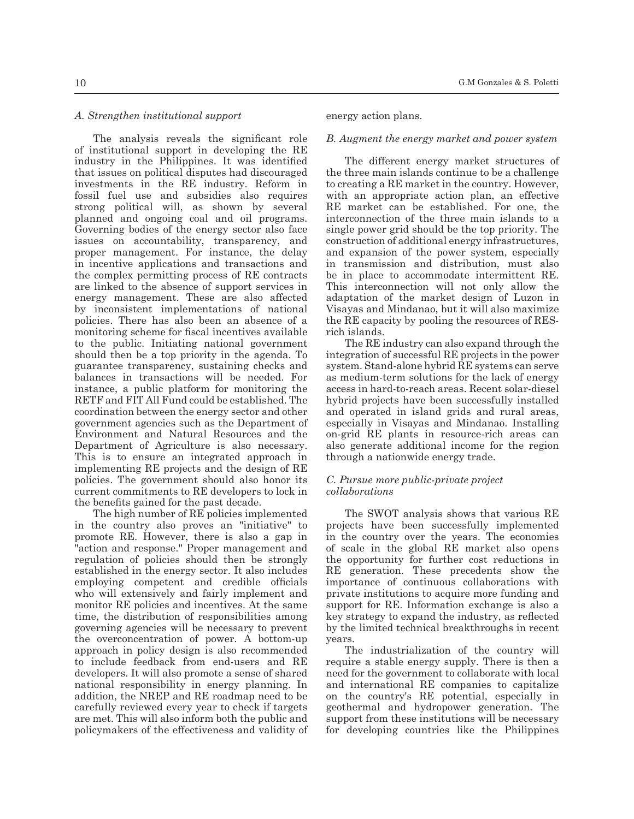#### *A. Strengthen institutional support*

The analysis reveals the significant role of institutional support in developing the RE industry in the Philippines. It was identified that issues on political disputes had discouraged investments in the RE industry. Reform in fossil fuel use and subsidies also requires strong political will, as shown by several planned and ongoing coal and oil programs. Governing bodies of the energy sector also face issues on accountability, transparency, and proper management. For instance, the delay in incentive applications and transactions and the complex permitting process of RE contracts are linked to the absence of support services in energy management. These are also affected by inconsistent implementations of national policies. There has also been an absence of a monitoring scheme for fiscal incentives available to the public. Initiating national government should then be a top priority in the agenda. To guarantee transparency, sustaining checks and balances in transactions will be needed. For instance, a public platform for monitoring the RETF and FIT All Fund could be established. The coordination between the energy sector and other government agencies such as the Department of Environment and Natural Resources and the Department of Agriculture is also necessary. This is to ensure an integrated approach in implementing RE projects and the design of RE policies. The government should also honor its current commitments to RE developers to lock in the benefits gained for the past decade.

The high number of RE policies implemented in the country also proves an "initiative" to promote RE. However, there is also a gap in "action and response." Proper management and regulation of policies should then be strongly established in the energy sector. It also includes employing competent and credible officials who will extensively and fairly implement and monitor RE policies and incentives. At the same time, the distribution of responsibilities among governing agencies will be necessary to prevent the overconcentration of power. A bottom-up approach in policy design is also recommended to include feedback from end-users and RE developers. It will also promote a sense of shared national responsibility in energy planning. In addition, the NREP and RE roadmap need to be carefully reviewed every year to check if targets are met. This will also inform both the public and policymakers of the effectiveness and validity of energy action plans.

#### *B. Augment the energy market and power system*

The different energy market structures of the three main islands continue to be a challenge to creating a RE market in the country. However, with an appropriate action plan, an effective RE market can be established. For one, the interconnection of the three main islands to a single power grid should be the top priority. The construction of additional energy infrastructures, and expansion of the power system, especially in transmission and distribution, must also be in place to accommodate intermittent RE. This interconnection will not only allow the adaptation of the market design of Luzon in Visayas and Mindanao, but it will also maximize the RE capacity by pooling the resources of RESrich islands.

The RE industry can also expand through the integration of successful RE projects in the power system. Stand-alone hybrid RE systems can serve as medium-term solutions for the lack of energy access in hard-to-reach areas. Recent solar-diesel hybrid projects have been successfully installed and operated in island grids and rural areas, especially in Visayas and Mindanao. Installing on-grid RE plants in resource-rich areas can also generate additional income for the region through a nationwide energy trade.

#### *C. Pursue more public-private project collaborations*

The SWOT analysis shows that various RE projects have been successfully implemented in the country over the years. The economies of scale in the global RE market also opens the opportunity for further cost reductions in RE generation. These precedents show the importance of continuous collaborations with private institutions to acquire more funding and support for RE. Information exchange is also a key strategy to expand the industry, as reflected by the limited technical breakthroughs in recent years.

The industrialization of the country will require a stable energy supply. There is then a need for the government to collaborate with local and international RE companies to capitalize on the country's RE potential, especially in geothermal and hydropower generation. The support from these institutions will be necessary for developing countries like the Philippines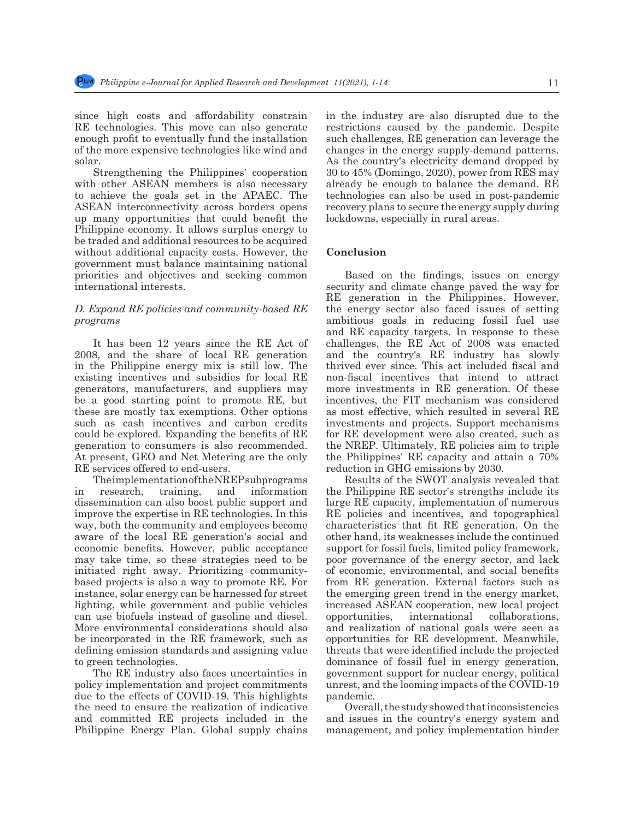since high costs and affordability constrain RE technologies. This move can also generate enough profit to eventually fund the installation of the more expensive technologies like wind and solar.

Strengthening the Philippines' cooperation with other ASEAN members is also necessary to achieve the goals set in the APAEC. The ASEAN interconnectivity across borders opens up many opportunities that could benefit the Philippine economy. It allows surplus energy to be traded and additional resources to be acquired without additional capacity costs. However, the government must balance maintaining national priorities and objectives and seeking common international interests.

#### *D. Expand RE policies and community-based RE programs*

It has been 12 years since the RE Act of 2008, and the share of local RE generation in the Philippine energy mix is still low. The existing incentives and subsidies for local RE generators, manufacturers, and suppliers may be a good starting point to promote RE, but these are mostly tax exemptions. Other options such as cash incentives and carbon credits could be explored. Expanding the benefits of RE generation to consumers is also recommended. At present, GEO and Net Metering are the only RE services offered to end-users.

The implementation of the NREP subprograms in research, training, and information dissemination can also boost public support and improve the expertise in RE technologies. In this way, both the community and employees become aware of the local RE generation's social and economic benefits. However, public acceptance may take time, so these strategies need to be initiated right away. Prioritizing communitybased projects is also a way to promote RE. For instance, solar energy can be harnessed for street lighting, while government and public vehicles can use biofuels instead of gasoline and diesel. More environmental considerations should also be incorporated in the RE framework, such as defining emission standards and assigning value to green technologies.

The RE industry also faces uncertainties in policy implementation and project commitments due to the effects of COVID-19. This highlights the need to ensure the realization of indicative and committed RE projects included in the Philippine Energy Plan. Global supply chains in the industry are also disrupted due to the restrictions caused by the pandemic. Despite such challenges, RE generation can leverage the changes in the energy supply-demand patterns. As the country's electricity demand dropped by 30 to 45% (Domingo, 2020), power from RES may already be enough to balance the demand. RE technologies can also be used in post-pandemic recovery plans to secure the energy supply during lockdowns, especially in rural areas.

#### **Conclusion**

Based on the findings, issues on energy security and climate change paved the way for RE generation in the Philippines. However, the energy sector also faced issues of setting ambitious goals in reducing fossil fuel use and RE capacity targets. In response to these challenges, the RE Act of 2008 was enacted and the country's RE industry has slowly thrived ever since. This act included fiscal and non-fiscal incentives that intend to attract more investments in RE generation. Of these incentives, the FIT mechanism was considered as most effective, which resulted in several RE investments and projects. Support mechanisms for RE development were also created, such as the NREP. Ultimately, RE policies aim to triple the Philippines' RE capacity and attain a 70% reduction in GHG emissions by 2030.

Results of the SWOT analysis revealed that the Philippine RE sector's strengths include its large RE capacity, implementation of numerous RE policies and incentives, and topographical characteristics that fit RE generation. On the other hand, its weaknesses include the continued support for fossil fuels, limited policy framework, poor governance of the energy sector, and lack of economic, environmental, and social benefits from RE generation. External factors such as the emerging green trend in the energy market, increased ASEAN cooperation, new local project opportunities, international collaborations, and realization of national goals were seen as opportunities for RE development. Meanwhile, threats that were identified include the projected dominance of fossil fuel in energy generation, government support for nuclear energy, political unrest, and the looming impacts of the COVID-19 pandemic.

Overall, the study showed that inconsistencies and issues in the country's energy system and management, and policy implementation hinder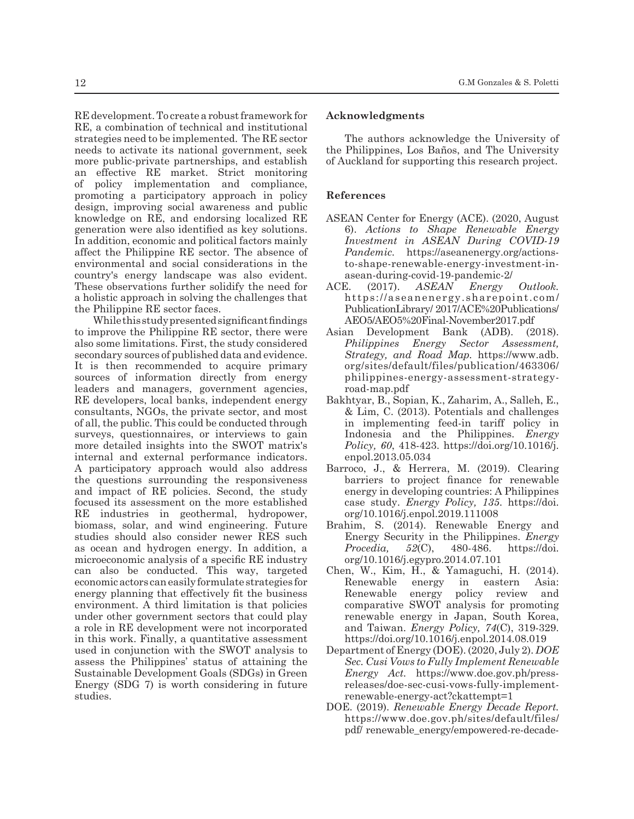RE development. To create a robust framework for RE, a combination of technical and institutional strategies need to be implemented. The RE sector needs to activate its national government, seek more public-private partnerships, and establish an effective RE market. Strict monitoring of policy implementation and compliance, promoting a participatory approach in policy design, improving social awareness and public knowledge on RE, and endorsing localized RE generation were also identified as key solutions. In addition, economic and political factors mainly affect the Philippine RE sector. The absence of environmental and social considerations in the country's energy landscape was also evident. These observations further solidify the need for a holistic approach in solving the challenges that the Philippine RE sector faces.

While this study presented significant findings to improve the Philippine RE sector, there were also some limitations. First, the study considered secondary sources of published data and evidence. It is then recommended to acquire primary sources of information directly from energy leaders and managers, government agencies, RE developers, local banks, independent energy consultants, NGOs, the private sector, and most of all, the public. This could be conducted through surveys, questionnaires, or interviews to gain more detailed insights into the SWOT matrix's internal and external performance indicators. A participatory approach would also address the questions surrounding the responsiveness and impact of RE policies. Second, the study focused its assessment on the more established RE industries in geothermal, hydropower, biomass, solar, and wind engineering. Future studies should also consider newer RES such as ocean and hydrogen energy. In addition, a microeconomic analysis of a specific RE industry can also be conducted. This way, targeted economic actors can easily formulate strategies for energy planning that effectively fit the business environment. A third limitation is that policies under other government sectors that could play a role in RE development were not incorporated in this work. Finally, a quantitative assessment used in conjunction with the SWOT analysis to assess the Philippines' status of attaining the Sustainable Development Goals (SDGs) in Green Energy (SDG 7) is worth considering in future studies.

#### **Acknowledgments**

The authors acknowledge the University of the Philippines, Los Baños, and The University of Auckland for supporting this research project.

### **References**

- ASEAN Center for Energy (ACE). (2020, August 6). *Actions to Shape Renewable Energy Investment in ASEAN During COVID-19 Pandemic.* https://aseanenergy.org/actionsto-shape-renewable-energy-investment-inasean-during-covid-19-pandemic-2/
- ACE. (2017). *ASEAN Energy Outlook.*  https://aseanenergy.sharepoint.com/ PublicationLibrary/ 2017/ACE%20Publications/ AEO5/AEO5%20Final-November2017.pdf
- Asian Development Bank (ADB). (2018). *Philippines Energy Sector Assessment, Strategy, and Road Map.* https://www.adb. org/sites/default/files/publication/463306/ philippines-energy-assessment-strategyroad-map.pdf
- Bakhtyar, B., Sopian, K., Zaharim, A., Salleh, E., & Lim, C. (2013). Potentials and challenges in implementing feed-in tariff policy in Indonesia and the Philippines. *Energy Policy, 60*, 418-423. https://doi.org/10.1016/j. enpol.2013.05.034
- Barroco, J., & Herrera, M. (2019). Clearing barriers to project finance for renewable energy in developing countries: A Philippines case study. *Energy Policy, 135*. https://doi. org/10.1016/j.enpol.2019.111008
- Brahim, S. (2014). Renewable Energy and Energy Security in the Philippines. *Energy Procedia, 52*(C), 480-486. https://doi. org/10.1016/j.egypro.2014.07.101
- Chen, W., Kim, H., & Yamaguchi, H. (2014). Renewable energy in eastern Asia: Renewable energy policy review and comparative SWOT analysis for promoting renewable energy in Japan, South Korea, and Taiwan. *Energy Policy, 74*(C), 319-329. https://doi.org/10.1016/j.enpol.2014.08.019
- Department of Energy (DOE). (2020, July 2). *DOE Sec. Cusi Vows to Fully Implement Renewable Energy Act.* https://www.doe.gov.ph/pressreleases/doe-sec-cusi-vows-fully-implementrenewable-energy-act?ckattempt=1
- DOE. (2019). *Renewable Energy Decade Report.* https://www.doe.gov.ph/sites/default/files/ pdf/ renewable\_energy/empowered-re-decade-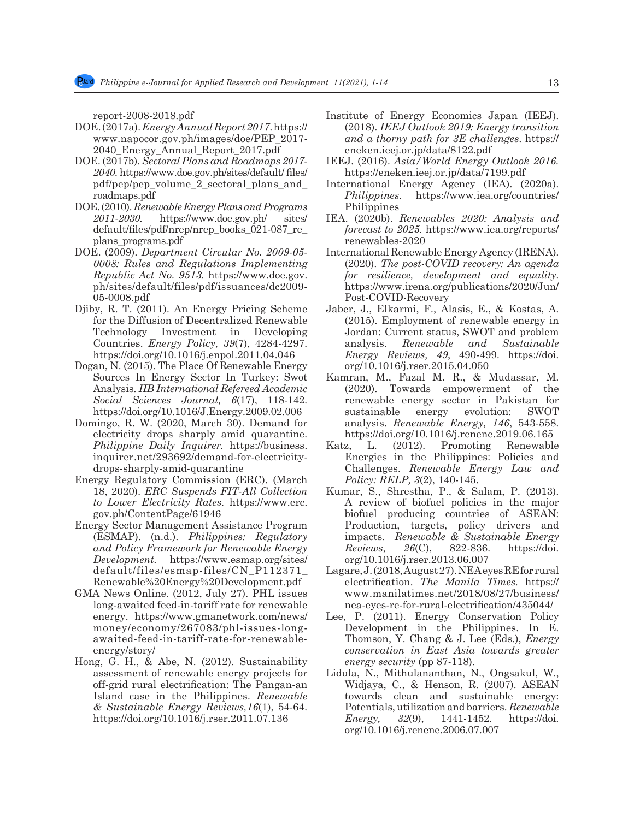report-2008-2018.pdf

- DOE. (2017a). *Energy Annual Report 2017*. https:// www.napocor.gov.ph/images/doe/PEP\_2017- 2040\_Energy\_Annual\_Report\_2017.pdf
- DOE. (2017b). *Sectoral Plans and Roadmaps 2017- 2040.* https://www.doe.gov.ph/sites/default/ files/ pdf/pep/pep\_volume\_2\_sectoral\_plans\_and\_ roadmaps.pdf
- DOE. (2010). *Renewable Energy Plans and Programs 2011-2030.* https://www.doe.gov.ph/ sites/ default/files/pdf/nrep/nrep\_books\_021-087\_re\_ plans\_programs.pdf
- DOE. (2009). *Department Circular No. 2009-05- 0008: Rules and Regulations Implementing Republic Act No. 9513.* https://www.doe.gov. ph/sites/default/files/pdf/issuances/dc2009- 05-0008.pdf
- Djiby, R. T. (2011). An Energy Pricing Scheme for the Diffusion of Decentralized Renewable Technology Investment in Developing Countries. *Energy Policy, 39*(7), 4284-4297. https://doi.org/10.1016/j.enpol.2011.04.046
- Dogan, N. (2015). The Place Of Renewable Energy Sources In Energy Sector In Turkey: Swot Analysis. *IIB International Refereed Academic Social Sciences Journal, 6*(17), 118-142. https://doi.org/10.1016/J.Energy.2009.02.006
- Domingo, R. W. (2020, March 30). Demand for electricity drops sharply amid quarantine. *Philippine Daily Inquirer.* https://business. inquirer.net/293692/demand-for-electricitydrops-sharply-amid-quarantine
- Energy Regulatory Commission (ERC). (March 18, 2020). *ERC Suspends FIT-All Collection to Lower Electricity Rates.* https://www.erc. gov.ph/ContentPage/61946
- Energy Sector Management Assistance Program (ESMAP). (n.d.). *Philippines: Regulatory and Policy Framework for Renewable Energy Development.* https://www.esmap.org/sites/ default/files/esmap-files/CN\_P112371\_ Renewable%20Energy%20Development.pdf
- GMA News Online*.* (2012, July 27). PHL issues long-awaited feed-in-tariff rate for renewable energy. https://www.gmanetwork.com/news/ money/economy/267083/phl-issues-longawaited-feed-in-tariff-rate-for-renewableenergy/story/
- Hong, G. H., & Abe, N. (2012). Sustainability assessment of renewable energy projects for off-grid rural electrification: The Pangan-an Island case in the Philippines. *Renewable & Sustainable Energy Reviews,16*(1), 54-64. https://doi.org/10.1016/j.rser.2011.07.136
- Institute of Energy Economics Japan (IEEJ). (2018). *IEEJ Outlook 2019: Energy transition and a thorny path for 3E challenges*. https:// eneken.ieej.or.jp/data/8122.pdf
- IEEJ. (2016). *Asia/World Energy Outlook 2016.* https://eneken.ieej.or.jp/data/7199.pdf
- International Energy Agency (IEA). (2020a). *Philippines.* https://www.iea.org/countries/ Philippines
- IEA. (2020b). *Renewables 2020: Analysis and forecast to 2025.* https://www.iea.org/reports/ renewables-2020
- International Renewable Energy Agency (IRENA). (2020). *The post-COVID recovery: An agenda for resilience, development and equality*. https://www.irena.org/publications/2020/Jun/ Post-COVID-Recovery
- Jaber, J., Elkarmi, F., Alasis, E., & Kostas, A. (2015). Employment of renewable energy in Jordan: Current status, SWOT and problem analysis. *Renewable and Sustainable Energy Reviews, 49*, 490-499. https://doi. org/10.1016/j.rser.2015.04.050
- Kamran, M., Fazal M. R., & Mudassar, M. (2020). Towards empowerment of the renewable energy sector in Pakistan for sustainable energy evolution: SWOT analysis. *Renewable Energy, 146*, 543-558. https://doi.org/10.1016/j.renene.2019.06.165
- Katz, L. (2012). Promoting Renewable Energies in the Philippines: Policies and Challenges. *Renewable Energy Law and Policy: RELP, 3*(2), 140-145.
- Kumar, S., Shrestha, P., & Salam, P. (2013). A review of biofuel policies in the major biofuel producing countries of ASEAN: Production, targets, policy drivers and impacts. *Renewable & Sustainable Energy Reviews, 26*(C), 822-836. https://doi. org/10.1016/j.rser.2013.06.007
- Lagare, J. (2018, August 27). NEA eyes RE for rural electrification. *The Manila Times.* https:// www.manilatimes.net/2018/08/27/business/ nea-eyes-re-for-rural-electrification/435044/
- Lee, P. (2011). Energy Conservation Policy Development in the Philippines. In E. Thomson, Y. Chang & J. Lee (Eds.), *Energy conservation in East Asia towards greater energy security* (pp 87-118).
- Lidula, N., Mithulananthan, N., Ongsakul, W., Widjaya, C., & Henson, R. (2007). ASEAN towards clean and sustainable energy: Potentials, utilization and barriers. *Renewable Energy, 32*(9), 1441-1452. https://doi. org/10.1016/j.renene.2006.07.007